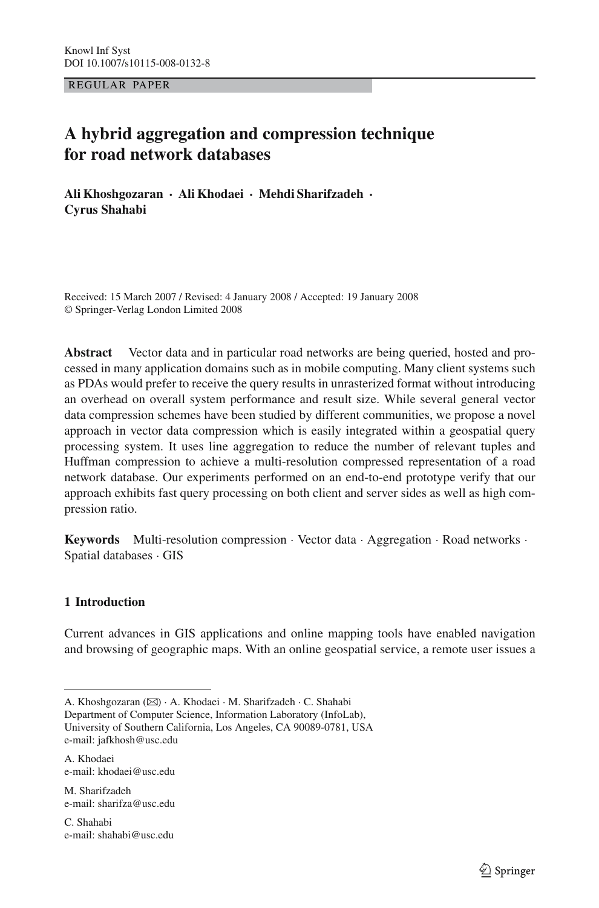REGULAR PAPER

# **A hybrid aggregation and compression technique for road network databases**

**Ali Khoshgozaran · Ali Khodaei · Mehdi Sharifzadeh · Cyrus Shahabi**

Received: 15 March 2007 / Revised: 4 January 2008 / Accepted: 19 January 2008 © Springer-Verlag London Limited 2008

**Abstract** Vector data and in particular road networks are being queried, hosted and processed in many application domains such as in mobile computing. Many client systems such as PDAs would prefer to receive the query results in unrasterized format without introducing an overhead on overall system performance and result size. While several general vector data compression schemes have been studied by different communities, we propose a novel approach in vector data compression which is easily integrated within a geospatial query processing system. It uses line aggregation to reduce the number of relevant tuples and Huffman compression to achieve a multi-resolution compressed representation of a road network database. Our experiments performed on an end-to-end prototype verify that our approach exhibits fast query processing on both client and server sides as well as high compression ratio.

**Keywords** Multi-resolution compression · Vector data · Aggregation · Road networks · Spatial databases · GIS

# **1 Introduction**

Current advances in GIS applications and online mapping tools have enabled navigation and browsing of geographic maps. With an online geospatial service, a remote user issues a

M. Sharifzadeh e-mail: sharifza@usc.edu

C. Shahabi e-mail: shahabi@usc.edu

A. Khoshgozaran (B) · A. Khodaei · M. Sharifzadeh · C. Shahabi

Department of Computer Science, Information Laboratory (InfoLab),

University of Southern California, Los Angeles, CA 90089-0781, USA e-mail: jafkhosh@usc.edu

A. Khodaei e-mail: khodaei@usc.edu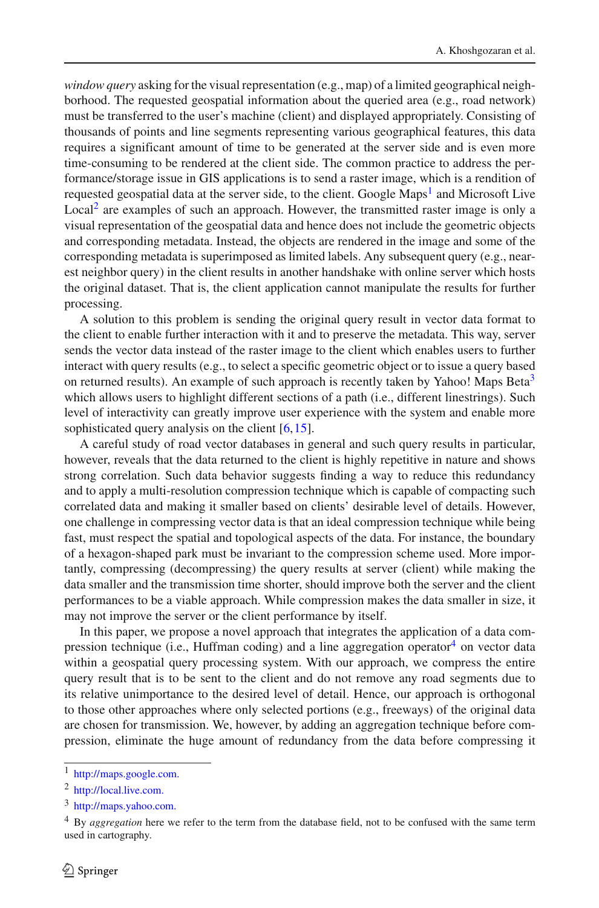*window query* asking for the visual representation (e.g., map) of a limited geographical neighborhood. The requested geospatial information about the queried area (e.g., road network) must be transferred to the user's machine (client) and displayed appropriately. Consisting of thousands of points and line segments representing various geographical features, this data requires a significant amount of time to be generated at the server side and is even more time-consuming to be rendered at the client side. The common practice to address the performance/storage issue in GIS applications is to send a raster image, which is a rendition of requested geospatial data at the server side, to the client. Google  $Maps<sup>1</sup>$  and Microsoft Live Local<sup>2</sup> are examples of such an approach. However, the transmitted raster image is only a visual representation of the geospatial data and hence does not include the geometric objects and corresponding metadata. Instead, the objects are rendered in the image and some of the corresponding metadata is superimposed as limited labels. Any subsequent query (e.g., nearest neighbor query) in the client results in another handshake with online server which hosts the original dataset. That is, the client application cannot manipulate the results for further processing.

A solution to this problem is sending the original query result in vector data format to the client to enable further interaction with it and to preserve the metadata. This way, server sends the vector data instead of the raster image to the client which enables users to further interact with query results (e.g., to select a specific geometric object or to issue a query based on returned results). An example of such approach is recently taken by Yahoo! Maps Beta<sup>3</sup> which allows users to highlight different sections of a path (i.e., different linestrings). Such level of interactivity can greatly improve user experience with the system and enable more sophisticated query analysis on the client [\[6,](#page-19-0)[15](#page-19-1)].

A careful study of road vector databases in general and such query results in particular, however, reveals that the data returned to the client is highly repetitive in nature and shows strong correlation. Such data behavior suggests finding a way to reduce this redundancy and to apply a multi-resolution compression technique which is capable of compacting such correlated data and making it smaller based on clients' desirable level of details. However, one challenge in compressing vector data is that an ideal compression technique while being fast, must respect the spatial and topological aspects of the data. For instance, the boundary of a hexagon-shaped park must be invariant to the compression scheme used. More importantly, compressing (decompressing) the query results at server (client) while making the data smaller and the transmission time shorter, should improve both the server and the client performances to be a viable approach. While compression makes the data smaller in size, it may not improve the server or the client performance by itself.

In this paper, we propose a novel approach that integrates the application of a data compression technique (i.e., Huffman coding) and a line aggregation operator $4$  on vector data within a geospatial query processing system. With our approach, we compress the entire query result that is to be sent to the client and do not remove any road segments due to its relative unimportance to the desired level of detail. Hence, our approach is orthogonal to those other approaches where only selected portions (e.g., freeways) of the original data are chosen for transmission. We, however, by adding an aggregation technique before compression, eliminate the huge amount of redundancy from the data before compressing it

<http://maps.google.com.>

<span id="page-1-0"></span><sup>2</sup> <http://local.live.com.>

<span id="page-1-1"></span><sup>3</sup> <http://maps.yahoo.com.>

<span id="page-1-3"></span><span id="page-1-2"></span><sup>&</sup>lt;sup>4</sup> By *aggregation* here we refer to the term from the database field, not to be confused with the same term used in cartography.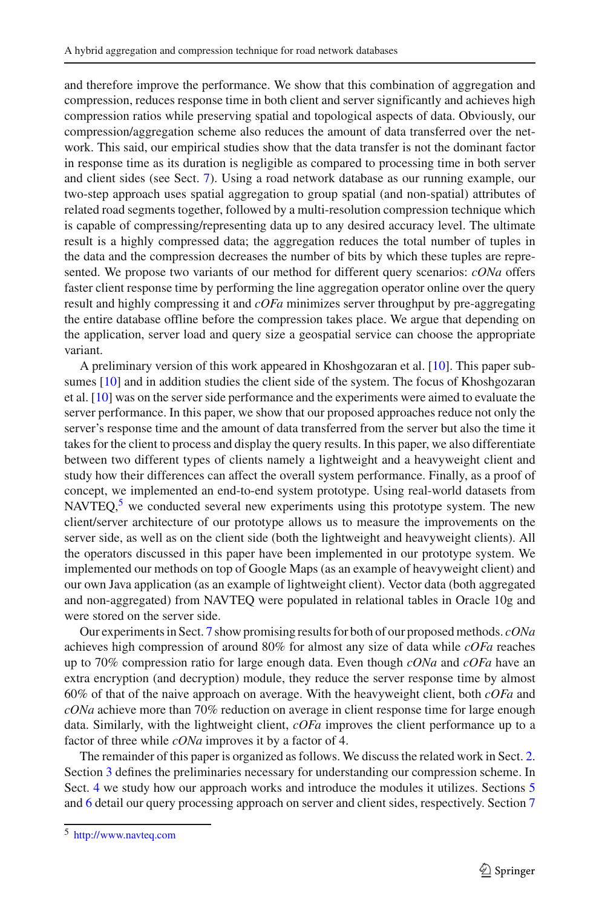and therefore improve the performance. We show that this combination of aggregation and compression, reduces response time in both client and server significantly and achieves high compression ratios while preserving spatial and topological aspects of data. Obviously, our compression/aggregation scheme also reduces the amount of data transferred over the network. This said, our empirical studies show that the data transfer is not the dominant factor in response time as its duration is negligible as compared to processing time in both server and client sides (see Sect. [7\)](#page-13-0). Using a road network database as our running example, our two-step approach uses spatial aggregation to group spatial (and non-spatial) attributes of related road segments together, followed by a multi-resolution compression technique which is capable of compressing/representing data up to any desired accuracy level. The ultimate result is a highly compressed data; the aggregation reduces the total number of tuples in the data and the compression decreases the number of bits by which these tuples are represented. We propose two variants of our method for different query scenarios: *cONa* offers faster client response time by performing the line aggregation operator online over the query result and highly compressing it and *cOFa* minimizes server throughput by pre-aggregating the entire database offline before the compression takes place. We argue that depending on the application, server load and query size a geospatial service can choose the appropriate variant.

A preliminary version of this work appeared in Khoshgozaran et al. [\[10\]](#page-19-2). This paper sub-sumes [\[10\]](#page-19-2) and in addition studies the client side of the system. The focus of Khoshgozaran et al. [\[10\]](#page-19-2) was on the server side performance and the experiments were aimed to evaluate the server performance. In this paper, we show that our proposed approaches reduce not only the server's response time and the amount of data transferred from the server but also the time it takes for the client to process and display the query results. In this paper, we also differentiate between two different types of clients namely a lightweight and a heavyweight client and study how their differences can affect the overall system performance. Finally, as a proof of concept, we implemented an end-to-end system prototype. Using real-world datasets from NAVTEQ,<sup>[5](#page-2-0)</sup> we conducted several new experiments using this prototype system. The new client/server architecture of our prototype allows us to measure the improvements on the server side, as well as on the client side (both the lightweight and heavyweight clients). All the operators discussed in this paper have been implemented in our prototype system. We implemented our methods on top of Google Maps (as an example of heavyweight client) and our own Java application (as an example of lightweight client). Vector data (both aggregated and non-aggregated) from NAVTEQ were populated in relational tables in Oracle 10g and were stored on the server side.

Our experiments in Sect. [7](#page-13-0) show promising results for both of our proposed methods. *cONa* achieves high compression of around 80% for almost any size of data while *cOFa* reaches up to 70% compression ratio for large enough data. Even though *cONa* and *cOFa* have an extra encryption (and decryption) module, they reduce the server response time by almost 60% of that of the naive approach on average. With the heavyweight client, both *cOFa* and *cONa* achieve more than 70% reduction on average in client response time for large enough data. Similarly, with the lightweight client, *cOFa* improves the client performance up to a factor of three while *cONa* improves it by a factor of 4.

The remainder of this paper is organized as follows. We discuss the related work in Sect. [2.](#page-3-0) Section [3](#page-4-0) defines the preliminaries necessary for understanding our compression scheme. In Sect. [4](#page-5-0) we study how our approach works and introduce the modules it utilizes. Sections [5](#page-9-0) and [6](#page-10-0) detail our query processing approach on server and client sides, respectively. Section [7](#page-13-0)

<span id="page-2-0"></span><sup>5</sup> <http://www.navteq.com>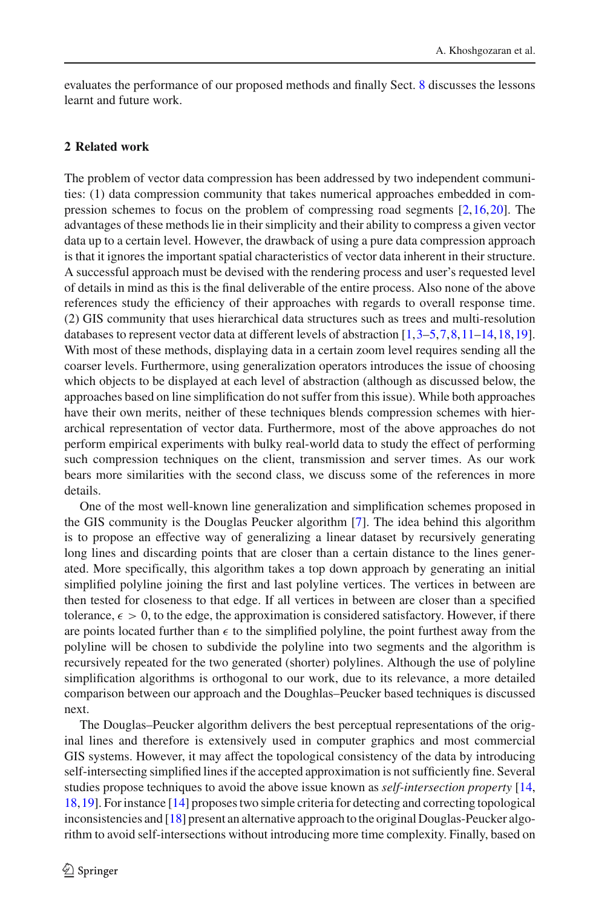evaluates the performance of our proposed methods and finally Sect. [8](#page-18-0) discusses the lessons learnt and future work.

# <span id="page-3-0"></span>**2 Related work**

The problem of vector data compression has been addressed by two independent communities: (1) data compression community that takes numerical approaches embedded in compression schemes to focus on the problem of compressing road segments [\[2](#page-19-3)[,16,](#page-19-4)[20](#page-19-5)]. The advantages of these methods lie in their simplicity and their ability to compress a given vector data up to a certain level. However, the drawback of using a pure data compression approach is that it ignores the important spatial characteristics of vector data inherent in their structure. A successful approach must be devised with the rendering process and user's requested level of details in mind as this is the final deliverable of the entire process. Also none of the above references study the efficiency of their approaches with regards to overall response time. (2) GIS community that uses hierarchical data structures such as trees and multi-resolution databases to represent vector data at different levels of abstraction [\[1,](#page-19-6)[3](#page-19-7)[–5](#page-19-8)[,7,](#page-19-9)[8,](#page-19-10)[11](#page-19-11)[–14](#page-19-12)[,18](#page-19-13)[,19\]](#page-19-14). With most of these methods, displaying data in a certain zoom level requires sending all the coarser levels. Furthermore, using generalization operators introduces the issue of choosing which objects to be displayed at each level of abstraction (although as discussed below, the approaches based on line simplification do not suffer from this issue). While both approaches have their own merits, neither of these techniques blends compression schemes with hierarchical representation of vector data. Furthermore, most of the above approaches do not perform empirical experiments with bulky real-world data to study the effect of performing such compression techniques on the client, transmission and server times. As our work bears more similarities with the second class, we discuss some of the references in more details.

One of the most well-known line generalization and simplification schemes proposed in the GIS community is the Douglas Peucker algorithm [\[7\]](#page-19-9). The idea behind this algorithm is to propose an effective way of generalizing a linear dataset by recursively generating long lines and discarding points that are closer than a certain distance to the lines generated. More specifically, this algorithm takes a top down approach by generating an initial simplified polyline joining the first and last polyline vertices. The vertices in between are then tested for closeness to that edge. If all vertices in between are closer than a specified tolerance,  $\epsilon > 0$ , to the edge, the approximation is considered satisfactory. However, if there are points located further than  $\epsilon$  to the simplified polyline, the point furthest away from the polyline will be chosen to subdivide the polyline into two segments and the algorithm is recursively repeated for the two generated (shorter) polylines. Although the use of polyline simplification algorithms is orthogonal to our work, due to its relevance, a more detailed comparison between our approach and the Doughlas–Peucker based techniques is discussed next.

The Douglas–Peucker algorithm delivers the best perceptual representations of the original lines and therefore is extensively used in computer graphics and most commercial GIS systems. However, it may affect the topological consistency of the data by introducing self-intersecting simplified lines if the accepted approximation is not sufficiently fine. Several studies propose techniques to avoid the above issue known as *self-intersection property* [\[14,](#page-19-12) [18,](#page-19-13)[19](#page-19-14)]. For instance [\[14\]](#page-19-12) proposes two simple criteria for detecting and correcting topological inconsistencies and [\[18\]](#page-19-13) present an alternative approach to the original Douglas-Peucker algorithm to avoid self-intersections without introducing more time complexity. Finally, based on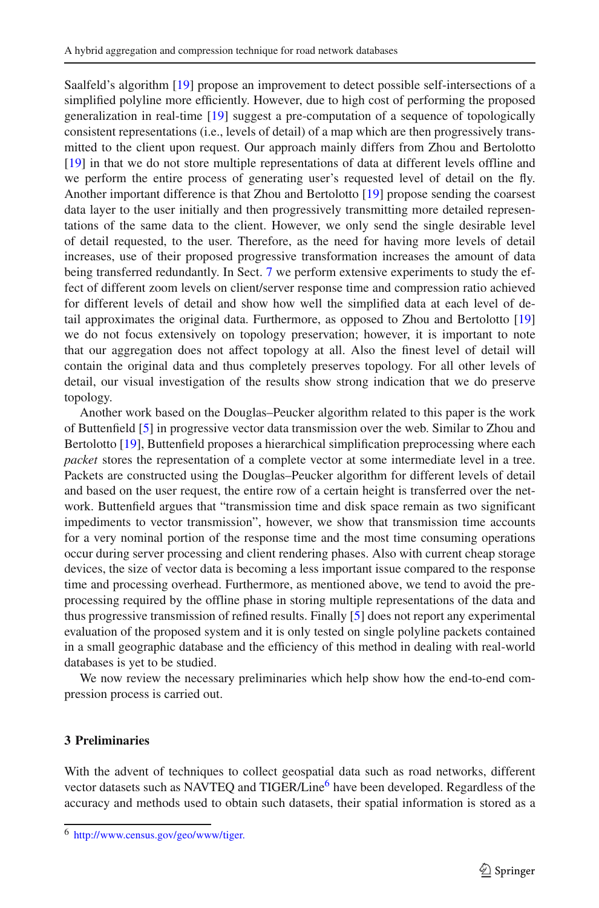Saalfeld's algorithm [\[19](#page-19-14)] propose an improvement to detect possible self-intersections of a simplified polyline more efficiently. However, due to high cost of performing the proposed generalization in real-time [\[19\]](#page-19-14) suggest a pre-computation of a sequence of topologically consistent representations (i.e., levels of detail) of a map which are then progressively transmitted to the client upon request. Our approach mainly differs from Zhou and Bertolotto [\[19\]](#page-19-14) in that we do not store multiple representations of data at different levels offline and we perform the entire process of generating user's requested level of detail on the fly. Another important difference is that Zhou and Bertolotto [\[19](#page-19-14)] propose sending the coarsest data layer to the user initially and then progressively transmitting more detailed representations of the same data to the client. However, we only send the single desirable level of detail requested, to the user. Therefore, as the need for having more levels of detail increases, use of their proposed progressive transformation increases the amount of data being transferred redundantly. In Sect. [7](#page-13-0) we perform extensive experiments to study the effect of different zoom levels on client/server response time and compression ratio achieved for different levels of detail and show how well the simplified data at each level of detail approximates the original data. Furthermore, as opposed to Zhou and Bertolotto [\[19\]](#page-19-14) we do not focus extensively on topology preservation; however, it is important to note that our aggregation does not affect topology at all. Also the finest level of detail will contain the original data and thus completely preserves topology. For all other levels of detail, our visual investigation of the results show strong indication that we do preserve topology.

Another work based on the Douglas–Peucker algorithm related to this paper is the work of Buttenfield [\[5\]](#page-19-8) in progressive vector data transmission over the web. Similar to Zhou and Bertolotto [\[19](#page-19-14)], Buttenfield proposes a hierarchical simplification preprocessing where each *packet* stores the representation of a complete vector at some intermediate level in a tree. Packets are constructed using the Douglas–Peucker algorithm for different levels of detail and based on the user request, the entire row of a certain height is transferred over the network. Buttenfield argues that "transmission time and disk space remain as two significant impediments to vector transmission", however, we show that transmission time accounts for a very nominal portion of the response time and the most time consuming operations occur during server processing and client rendering phases. Also with current cheap storage devices, the size of vector data is becoming a less important issue compared to the response time and processing overhead. Furthermore, as mentioned above, we tend to avoid the preprocessing required by the offline phase in storing multiple representations of the data and thus progressive transmission of refined results. Finally [\[5\]](#page-19-8) does not report any experimental evaluation of the proposed system and it is only tested on single polyline packets contained in a small geographic database and the efficiency of this method in dealing with real-world databases is yet to be studied.

We now review the necessary preliminaries which help show how the end-to-end compression process is carried out.

### <span id="page-4-0"></span>**3 Preliminaries**

With the advent of techniques to collect geospatial data such as road networks, different vector datasets such as NAVTEQ and TIGER/Line<sup>[6](#page-4-1)</sup> have been developed. Regardless of the accuracy and methods used to obtain such datasets, their spatial information is stored as a

<span id="page-4-1"></span><sup>6</sup> <http://www.census.gov/geo/www/tiger.>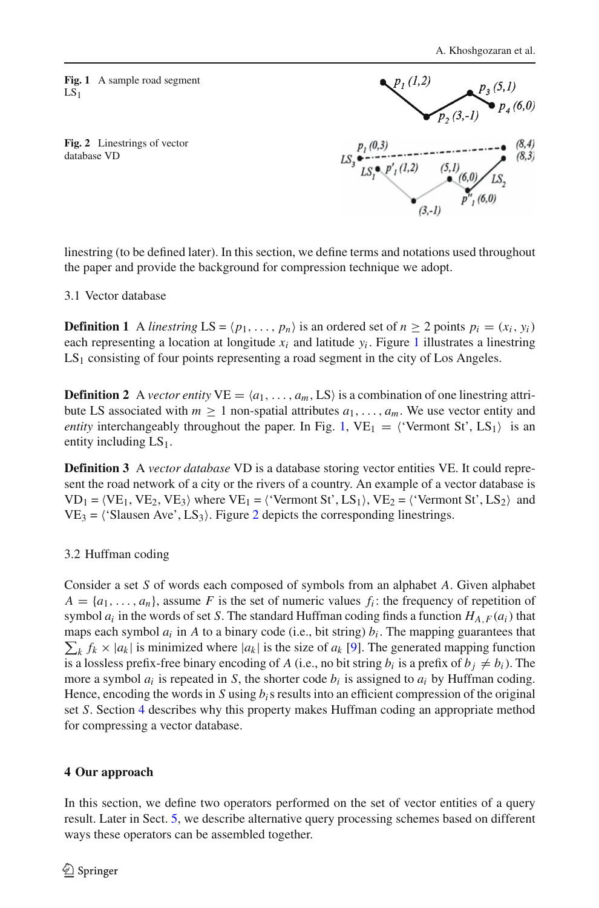<span id="page-5-1"></span>**Fig. 1** A sample road segment  $LS<sub>1</sub>$ 

**Fig. 2** Linestrings of vector

<span id="page-5-2"></span>database VD



linestring (to be defined later). In this section, we define terms and notations used throughout the paper and provide the background for compression technique we adopt.

<span id="page-5-3"></span>3.1 Vector database

**Definition 1** A *linestring* LS =  $\langle p_1, \ldots, p_n \rangle$  is an ordered set of  $n \ge 2$  points  $p_i = (x_i, y_i)$ each representing a location at longitude  $x_i$  and latitude  $y_i$ . Figure [1](#page-5-1) illustrates a linestring LS1 consisting of four points representing a road segment in the city of Los Angeles.

**Definition 2** A *vector entity*  $VE = \langle a_1, \ldots, a_m, LS \rangle$  is a combination of one linestring attribute LS associated with  $m \ge 1$  non-spatial attributes  $a_1, \ldots, a_m$ . We use vector entity and *entity* interchangeably throughout the paper. In Fig. [1,](#page-5-1)  $VE_1 = \langle$  'Vermont St', LS<sub>1</sub> $\rangle$  is an entity including  $LS<sub>1</sub>$ .

**Definition 3** A *vector database* VD is a database storing vector entities VE. It could represent the road network of a city or the rivers of a country. An example of a vector database is  $VD_1 = \langle VE_1, VE_2, VE_3 \rangle$  where  $VE_1 = \langle 'Vermont St', LS_1 \rangle$ ,  $VE_2 = \langle 'Vermont St', LS_2 \rangle$  and  $VE<sub>3</sub> =$  ('Slausen Ave', LS<sub>3</sub>). Figure [2](#page-5-2) depicts the corresponding linestrings.

<span id="page-5-4"></span>3.2 Huffman coding

Consider a set *S* of words each composed of symbols from an alphabet *A*. Given alphabet  $A = \{a_1, \ldots, a_n\}$ , assume *F* is the set of numeric values  $f_i$ : the frequency of repetition of symbol  $a_i$  in the words of set *S*. The standard Huffman coding finds a function  $H_{A,F}(a_i)$  that maps each symbol  $a_i$  in  $A$  to a binary code (i.e., bit string)  $b_i$ . The mapping guarantees that  $\sum_{k} f_k \times |a_k|$  is minimized where  $|a_k|$  is the size of  $a_k$  [\[9](#page-19-15)]. The generated mapping function is a lossless prefix-free binary encoding of *A* (i.e., no bit string  $b_i$  is a prefix of  $b_j \neq b_i$ ). The more a symbol  $a_i$  is repeated in *S*, the shorter code  $b_i$  is assigned to  $a_i$  by Huffman coding. Hence, encoding the words in *S* using *bi*s results into an efficient compression of the original set *S*. Section [4](#page-5-0) describes why this property makes Huffman coding an appropriate method for compressing a vector database.

# <span id="page-5-0"></span>**4 Our approach**

In this section, we define two operators performed on the set of vector entities of a query result. Later in Sect. [5,](#page-9-0) we describe alternative query processing schemes based on different ways these operators can be assembled together.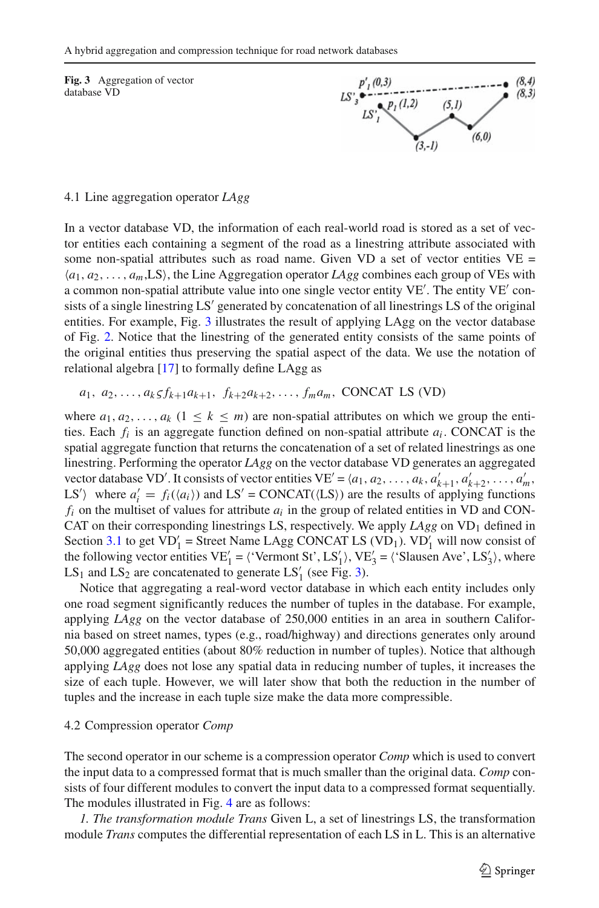<span id="page-6-0"></span>



### 4.1 Line aggregation operator *LAgg*

In a vector database VD, the information of each real-world road is stored as a set of vector entities each containing a segment of the road as a linestring attribute associated with some non-spatial attributes such as road name. Given VD a set of vector entities VE =  $\langle a_1, a_2, \ldots, a_m, LS \rangle$ , the Line Aggregation operator *LAgg* combines each group of VEs with a common non-spatial attribute value into one single vector entity VE'. The entity VE' consists of a single linestring LS' generated by concatenation of all linestrings LS of the original entities. For example, Fig. [3](#page-6-0) illustrates the result of applying LAgg on the vector database of Fig. [2.](#page-5-2) Notice that the linestring of the generated entity consists of the same points of the original entities thus preserving the spatial aspect of the data. We use the notation of relational algebra [\[17](#page-19-16)] to formally define LAgg as

$$
a_1, a_2, \ldots, a_k \zeta f_{k+1} a_{k+1}, f_{k+2} a_{k+2}, \ldots, f_m a_m
$$
, CONCAT LS (VD)

where  $a_1, a_2, \ldots, a_k$  ( $1 \le k \le m$ ) are non-spatial attributes on which we group the entities. Each  $f_i$  is an aggregate function defined on non-spatial attribute  $a_i$ . CONCAT is the spatial aggregate function that returns the concatenation of a set of related linestrings as one linestring. Performing the operator *LAgg* on the vector database VD generates an aggregated vector database VD'. It consists of vector entities VE' =  $\langle a_1, a_2, \ldots, a_k, a'_{k+1}, a'_{k+2}, \ldots, a'_m,$ LS') where  $a'_i = f_i(\langle a_i \rangle)$  and LS' = CONCAT( $\langle LS \rangle$ ) are the results of applying functions  $f_i$  on the multiset of values for attribute  $a_i$  in the group of related entities in VD and CON-CAT on their corresponding linestrings LS, respectively. We apply *LAgg* on VD<sub>1</sub> defined in Section [3.1](#page-5-3) to get  $VD'_1$  = Street Name LAgg CONCAT LS (VD<sub>1</sub>). VD'<sub>1</sub> will now consist of the following vector entities  $VE'_{1} = \langle$  'Vermont St', LS'<sub>1</sub> $\rangle$ , VE'<sub>3</sub> =  $\langle$  'Slausen Ave', LS'<sub>3</sub> $\rangle$ , where  $LS_1$  and  $LS_2$  are concatenated to generate  $LS'_1$  (see Fig. [3\)](#page-6-0).

Notice that aggregating a real-word vector database in which each entity includes only one road segment significantly reduces the number of tuples in the database. For example, applying *LAgg* on the vector database of 250,000 entities in an area in southern California based on street names, types (e.g., road/highway) and directions generates only around 50,000 aggregated entities (about 80% reduction in number of tuples). Notice that although applying *LAgg* does not lose any spatial data in reducing number of tuples, it increases the size of each tuple. However, we will later show that both the reduction in the number of tuples and the increase in each tuple size make the data more compressible.

#### 4.2 Compression operator *Comp*

The second operator in our scheme is a compression operator *Comp* which is used to convert the input data to a compressed format that is much smaller than the original data. *Comp* consists of four different modules to convert the input data to a compressed format sequentially. The modules illustrated in Fig. [4](#page-7-0) are as follows:

*1. The transformation module Trans* Given L, a set of linestrings LS, the transformation module *Trans* computes the differential representation of each LS in L. This is an alternative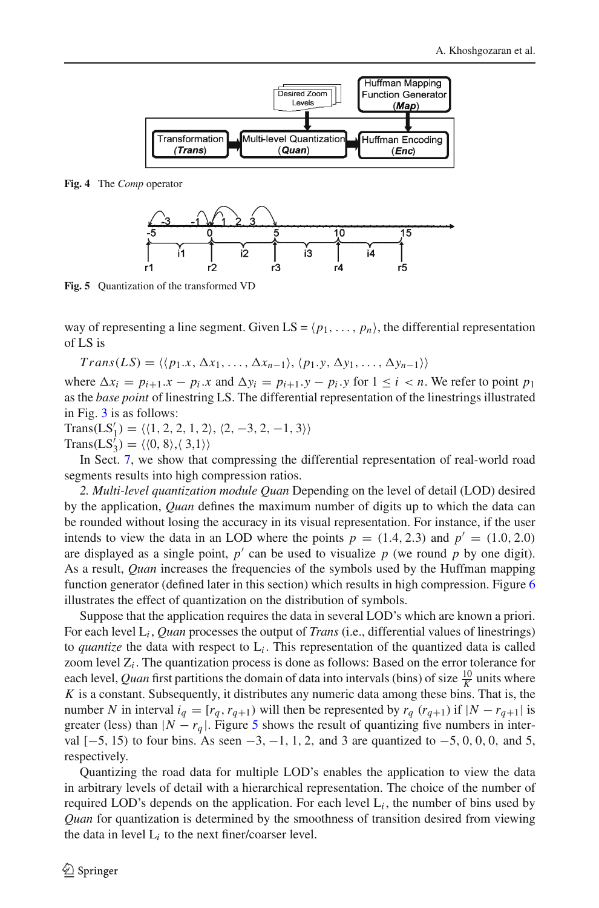

<span id="page-7-0"></span>**Fig. 4** The *Comp* operator



<span id="page-7-1"></span>**Fig. 5** Quantization of the transformed VD

way of representing a line segment. Given  $LS = \langle p_1, \ldots, p_n \rangle$ , the differential representation of LS is

 $Trans(LS) = \langle \langle p_1.x, \Delta x_1, \ldots, \Delta x_{n-1} \rangle, \langle p_1.y, \Delta y_1, \ldots, \Delta y_{n-1} \rangle \rangle$ 

where  $\Delta x_i = p_{i+1} \cdot x - p_i \cdot x$  and  $\Delta y_i = p_{i+1} \cdot y - p_i \cdot y$  for  $1 \le i \le n$ . We refer to point  $p_1$ as the *base point* of linestring LS. The differential representation of the linestrings illustrated in Fig. [3](#page-6-0) is as follows:

 $Trans(LS'_1) = \langle \langle 1, 2, 2, 1, 2 \rangle, \langle 2, -3, 2, -1, 3 \rangle \rangle$ Trans(LS<sup> $\dot{i}_3$ ) =  $\langle \langle 0, 8 \rangle, \langle 3, 1 \rangle \rangle$ </sup>

In Sect. [7,](#page-13-0) we show that compressing the differential representation of real-world road segments results into high compression ratios.

*2. Multi-level quantization module Quan* Depending on the level of detail (LOD) desired by the application, *Quan* defines the maximum number of digits up to which the data can be rounded without losing the accuracy in its visual representation. For instance, if the user intends to view the data in an LOD where the points  $p = (1.4, 2.3)$  and  $p' = (1.0, 2.0)$ are displayed as a single point,  $p'$  can be used to visualize  $p$  (we round  $p$  by one digit). As a result, *Quan* increases the frequencies of the symbols used by the Huffman mapping function generator (defined later in this section) which results in high compression. Figure [6](#page-8-0) illustrates the effect of quantization on the distribution of symbols.

Suppose that the application requires the data in several LOD's which are known a priori. For each level L*<sup>i</sup>* , *Quan* processes the output of *Trans* (i.e., differential values of linestrings) to *quantize* the data with respect to  $L<sub>i</sub>$ . This representation of the quantized data is called zoom level  $Z_i$ . The quantization process is done as follows: Based on the error tolerance for each level, *Quan* first partitions the domain of data into intervals (bins) of size  $\frac{10}{K}$  units where *K* is a constant. Subsequently, it distributes any numeric data among these bins. That is, the number *N* in interval  $i_q = [r_q, r_{q+1})$  will then be represented by  $r_q$  ( $r_{q+1}$ ) if  $|N - r_{q+1}|$  is greater (less) than  $|N - r_q|$ . Figure [5](#page-7-1) shows the result of quantizing five numbers in interval  $[-5, 15)$  to four bins. As seen  $-3, -1, 1, 2$ , and 3 are quantized to  $-5, 0, 0, 0$ , and 5, respectively.

Quantizing the road data for multiple LOD's enables the application to view the data in arbitrary levels of detail with a hierarchical representation. The choice of the number of required LOD's depends on the application. For each level  $L_i$ , the number of bins used by *Quan* for quantization is determined by the smoothness of transition desired from viewing the data in level  $L_i$  to the next finer/coarser level.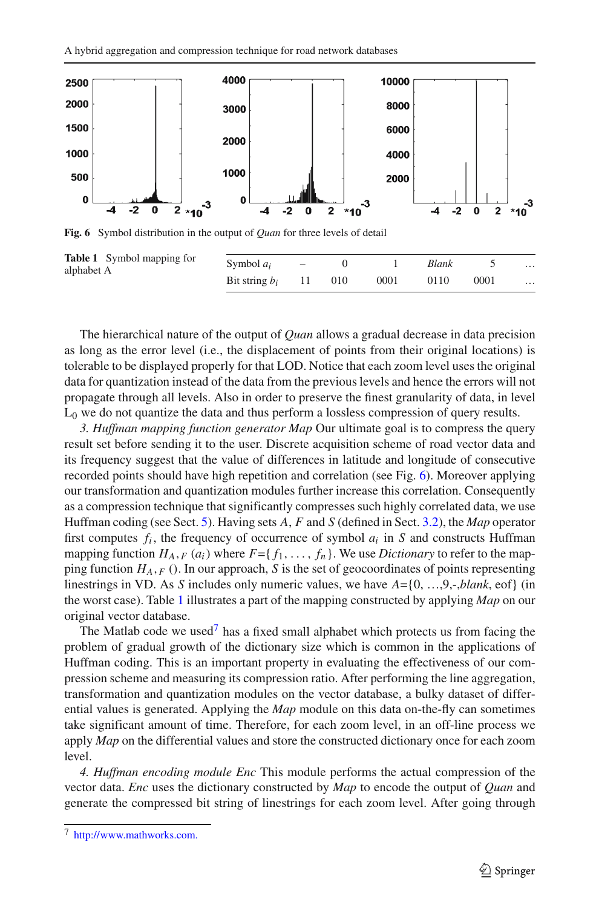

<span id="page-8-1"></span><span id="page-8-0"></span>

| <b>Table 1</b> Symbol mapping for<br>alphabet A | Symbol $a_i$ –      |     |      | Blank |      | $\cdots$ |
|-------------------------------------------------|---------------------|-----|------|-------|------|----------|
|                                                 | Bit string $b_i$ 11 | 010 | 0001 | 0110  | 0001 | $\cdots$ |

The hierarchical nature of the output of *Quan* allows a gradual decrease in data precision as long as the error level (i.e., the displacement of points from their original locations) is tolerable to be displayed properly for that LOD. Notice that each zoom level uses the original data for quantization instead of the data from the previous levels and hence the errors will not propagate through all levels. Also in order to preserve the finest granularity of data, in level  $L_0$  we do not quantize the data and thus perform a lossless compression of query results.

*3. Huffman mapping function generator Map* Our ultimate goal is to compress the query result set before sending it to the user. Discrete acquisition scheme of road vector data and its frequency suggest that the value of differences in latitude and longitude of consecutive recorded points should have high repetition and correlation (see Fig. [6\)](#page-8-0). Moreover applying our transformation and quantization modules further increase this correlation. Consequently as a compression technique that significantly compresses such highly correlated data, we use Huffman coding (see Sect. [5\)](#page-9-0). Having sets *A*, *F* and *S* (defined in Sect. [3.2\)](#page-5-4), the *Map* operator first computes  $f_i$ , the frequency of occurrence of symbol  $a_i$  in  $S$  and constructs Huffman mapping function  $H_A$ ,  $_F$  ( $a_i$ ) where  $F = \{f_1, \ldots, f_n\}$ . We use *Dictionary* to refer to the mapping function  $H_{A,F}$  (). In our approach, *S* is the set of geocoordinates of points representing linestrings in VD. As *S* includes only numeric values, we have *A*={0, …,9,-,*blank*, eof} (in the worst case). Table [1](#page-8-1) illustrates a part of the mapping constructed by applying *Map* on our original vector database.

The Matlab code we used<sup>[7](#page-8-2)</sup> has a fixed small alphabet which protects us from facing the problem of gradual growth of the dictionary size which is common in the applications of Huffman coding. This is an important property in evaluating the effectiveness of our compression scheme and measuring its compression ratio. After performing the line aggregation, transformation and quantization modules on the vector database, a bulky dataset of differential values is generated. Applying the *Map* module on this data on-the-fly can sometimes take significant amount of time. Therefore, for each zoom level, in an off-line process we apply *Map* on the differential values and store the constructed dictionary once for each zoom level.

*4. Huffman encoding module Enc* This module performs the actual compression of the vector data. *Enc* uses the dictionary constructed by *Map* to encode the output of *Quan* and generate the compressed bit string of linestrings for each zoom level. After going through

<span id="page-8-2"></span><sup>7</sup> <http://www.mathworks.com.>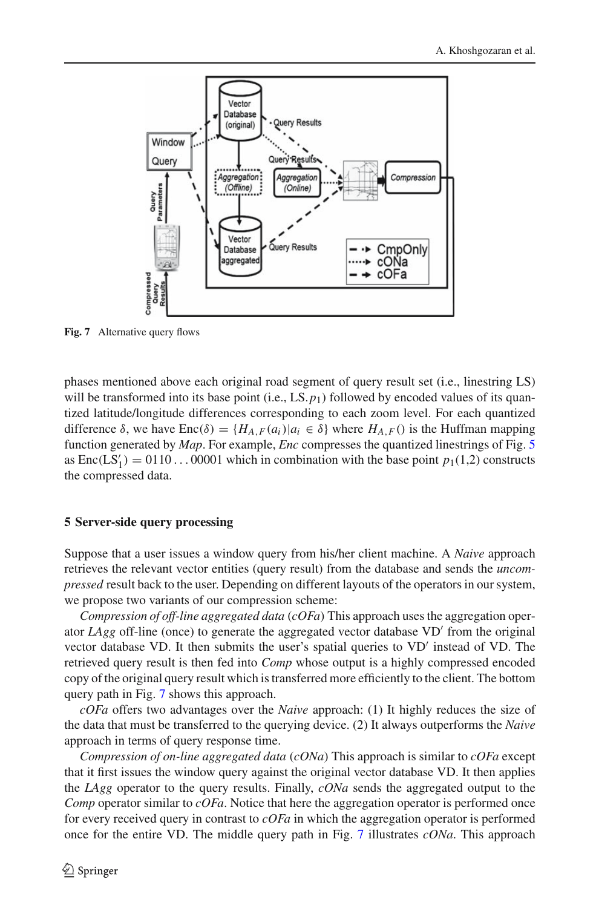

<span id="page-9-1"></span>**Fig. 7** Alternative query flows

phases mentioned above each original road segment of query result set (i.e., linestring LS) will be transformed into its base point  $(i.e., LS, p_1)$  followed by encoded values of its quantized latitude/longitude differences corresponding to each zoom level. For each quantized difference  $\delta$ , we have  $\text{Enc}(\delta) = \{H_{A|F}(a_i) | a_i \in \delta\}$  where  $H_{A|F}(i)$  is the Huffman mapping function generated by *Map*. For example, *Enc* compresses the quantized linestrings of Fig. [5](#page-7-1) as  $Enc(LS'_1) = 0110...00001$  which in combination with the base point  $p_1(1,2)$  constructs the compressed data.

# <span id="page-9-0"></span>**5 Server-side query processing**

Suppose that a user issues a window query from his/her client machine. A *Naive* approach retrieves the relevant vector entities (query result) from the database and sends the *uncompressed* result back to the user. Depending on different layouts of the operators in our system, we propose two variants of our compression scheme:

*Compression of off-line aggregated data* (*cOFa*) This approach uses the aggregation operator *LAgg* off-line (once) to generate the aggregated vector database VD from the original vector database VD. It then submits the user's spatial queries to VD instead of VD. The retrieved query result is then fed into *Comp* whose output is a highly compressed encoded copy of the original query result which is transferred more efficiently to the client. The bottom query path in Fig. [7](#page-9-1) shows this approach.

*cOFa* offers two advantages over the *Naive* approach: (1) It highly reduces the size of the data that must be transferred to the querying device. (2) It always outperforms the *Naive* approach in terms of query response time.

*Compression of on-line aggregated data* (*cONa*) This approach is similar to *cOFa* except that it first issues the window query against the original vector database VD. It then applies the *LAgg* operator to the query results. Finally, *cONa* sends the aggregated output to the *Comp* operator similar to *cOFa*. Notice that here the aggregation operator is performed once for every received query in contrast to *cOFa* in which the aggregation operator is performed once for the entire VD. The middle query path in Fig. [7](#page-9-1) illustrates *cONa*. This approach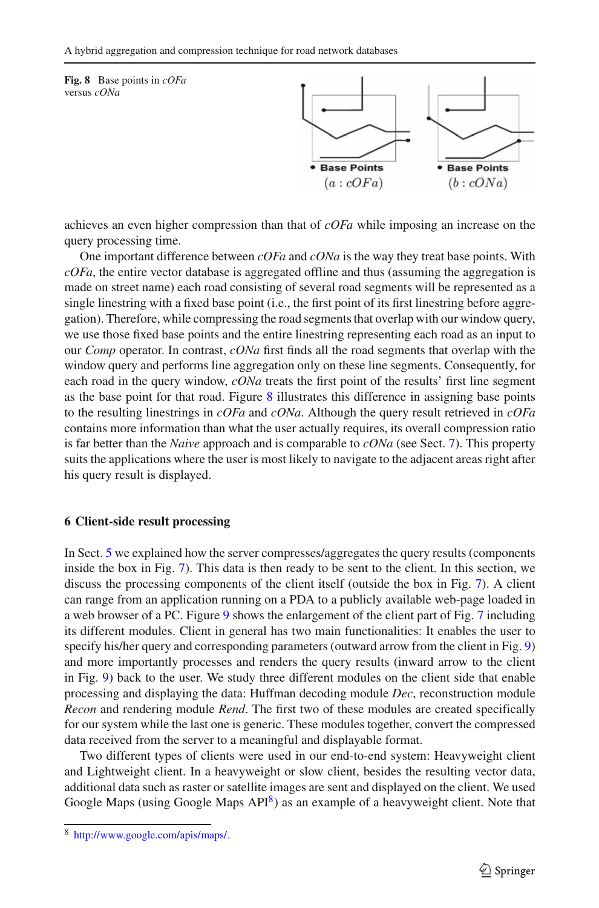<span id="page-10-1"></span>



achieves an even higher compression than that of *cOFa* while imposing an increase on the query processing time.

One important difference between *cOFa* and *cONa* is the way they treat base points. With *cOFa*, the entire vector database is aggregated offline and thus (assuming the aggregation is made on street name) each road consisting of several road segments will be represented as a single linestring with a fixed base point (i.e., the first point of its first linestring before aggregation). Therefore, while compressing the road segments that overlap with our window query, we use those fixed base points and the entire linestring representing each road as an input to our *Comp* operator. In contrast, *cONa* first finds all the road segments that overlap with the window query and performs line aggregation only on these line segments. Consequently, for each road in the query window, *cONa* treats the first point of the results' first line segment as the base point for that road. Figure [8](#page-10-1) illustrates this difference in assigning base points to the resulting linestrings in *cOFa* and *cONa*. Although the query result retrieved in *cOFa* contains more information than what the user actually requires, its overall compression ratio is far better than the *Naive* approach and is comparable to *cONa* (see Sect. [7\)](#page-13-0). This property suits the applications where the user is most likely to navigate to the adjacent areas right after his query result is displayed.

### <span id="page-10-0"></span>**6 Client-side result processing**

In Sect. [5](#page-9-0) we explained how the server compresses/aggregates the query results (components inside the box in Fig. [7\)](#page-9-1). This data is then ready to be sent to the client. In this section, we discuss the processing components of the client itself (outside the box in Fig. [7\)](#page-9-1). A client can range from an application running on a PDA to a publicly available web-page loaded in a web browser of a PC. Figure [9](#page-11-0) shows the enlargement of the client part of Fig. [7](#page-9-1) including its different modules. Client in general has two main functionalities: It enables the user to specify his/her query and corresponding parameters (outward arrow from the client in Fig. [9\)](#page-11-0) and more importantly processes and renders the query results (inward arrow to the client in Fig. [9\)](#page-11-0) back to the user. We study three different modules on the client side that enable processing and displaying the data: Huffman decoding module *Dec*, reconstruction module *Recon* and rendering module *Rend*. The first two of these modules are created specifically for our system while the last one is generic. These modules together, convert the compressed data received from the server to a meaningful and displayable format.

Two different types of clients were used in our end-to-end system: Heavyweight client and Lightweight client. In a heavyweight or slow client, besides the resulting vector data, additional data such as raster or satellite images are sent and displayed on the client. We used Google Maps (using Google Maps API<sup>8</sup>) as an example of a heavyweight client. Note that

<span id="page-10-2"></span><sup>8</sup> <http://www.google.com/apis/maps/.>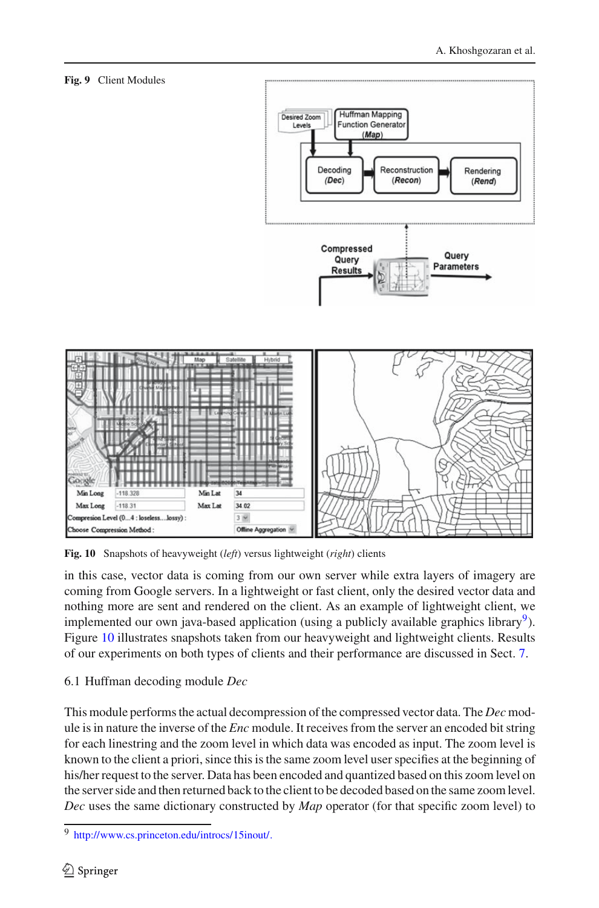<span id="page-11-0"></span>

**Fig. 10** Snapshots of heavyweight (*left*) versus lightweight (*right*) clients

<span id="page-11-2"></span>in this case, vector data is coming from our own server while extra layers of imagery are coming from Google servers. In a lightweight or fast client, only the desired vector data and nothing more are sent and rendered on the client. As an example of lightweight client, we implemented our own java-based application (using a publicly available graphics library<sup>9</sup>). Figure [10](#page-11-2) illustrates snapshots taken from our heavyweight and lightweight clients. Results of our experiments on both types of clients and their performance are discussed in Sect. [7.](#page-13-0)

# 6.1 Huffman decoding module *Dec*

This module performs the actual decompression of the compressed vector data. The *Dec* module is in nature the inverse of the *Enc* module. It receives from the server an encoded bit string for each linestring and the zoom level in which data was encoded as input. The zoom level is known to the client a priori, since this is the same zoom level user specifies at the beginning of his/her request to the server. Data has been encoded and quantized based on this zoom level on the server side and then returned back to the client to be decoded based on the same zoom level. *Dec* uses the same dictionary constructed by *Map* operator (for that specific zoom level) to

<span id="page-11-1"></span><sup>9</sup> <http://www.cs.princeton.edu/introcs/15inout/.>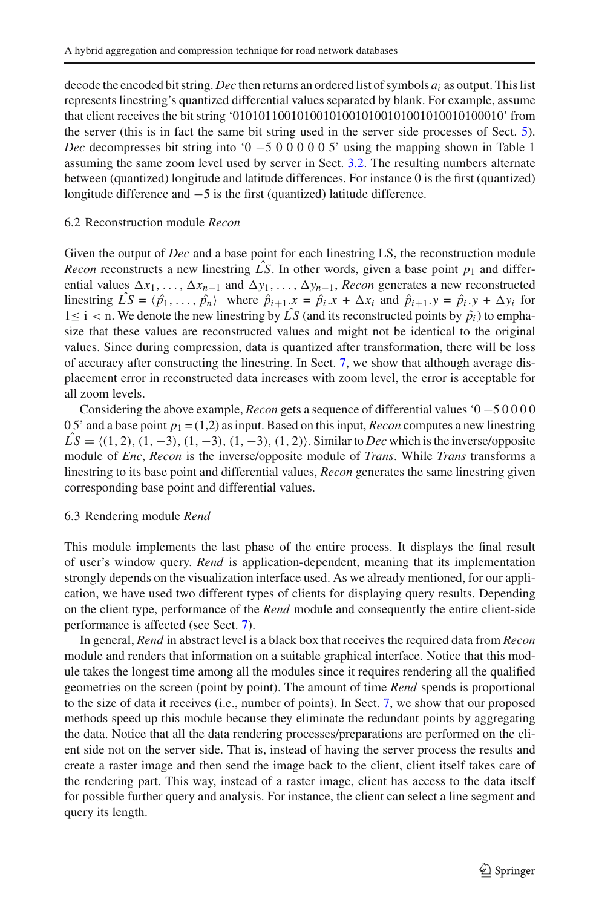decode the encoded bit string. *Dec* then returns an ordered list of symbols *ai* as output. This list represents linestring's quantized differential values separated by blank. For example, assume that client receives the bit string '010101100101001010010100101001010010100010' from the server (this is in fact the same bit string used in the server side processes of Sect. [5\)](#page-9-0). *Dec* decompresses bit string into '0 −5 0 0 0 0 0 5' using the mapping shown in Table 1 assuming the same zoom level used by server in Sect. [3.2.](#page-5-4) The resulting numbers alternate between (quantized) longitude and latitude differences. For instance 0 is the first (quantized) longitude difference and −5 is the first (quantized) latitude difference.

# 6.2 Reconstruction module *Recon*

Given the output of *Dec* and a base point for each linestring LS, the reconstruction module *Recon* reconstructs a new linestring  $\hat{LS}$ . In other words, given a base point  $p_1$  and differential values  $\Delta x_1, \ldots, \Delta x_{n-1}$  and  $\Delta y_1, \ldots, \Delta y_{n-1}$ , *Recon* generates a new reconstructed linestring  $\hat{L}S = \langle \hat{p}_1, \dots, \hat{p}_n \rangle$  where  $\hat{p}_{i+1} \cdot x = \hat{p}_i \cdot x + \Delta x_i$  and  $\hat{p}_{i+1} \cdot y = \hat{p}_i \cdot y + \Delta y_i$  for  $1 \le i < n$ . We denote the new linestring by  $\hat{LS}$  (and its reconstructed points by  $\hat{p}_i$ ) to emphasize that these values are reconstructed values and might not be identical to the original values. Since during compression, data is quantized after transformation, there will be loss of accuracy after constructing the linestring. In Sect. [7,](#page-13-0) we show that although average displacement error in reconstructed data increases with zoom level, the error is acceptable for all zoom levels.

Considering the above example, *Recon* gets a sequence of differential values '0 −50000 0 5' and a base point  $p_1 = (1,2)$  as input. Based on this input, *Recon* computes a new linestring  $\hat{LS} = \{(1, 2), (1, -3), (1, -3), (1, -3), (1, 2)\}\.$  Similar to *Dec* which is the inverse/opposite module of *Enc*, *Recon* is the inverse/opposite module of *Trans*. While *Trans* transforms a linestring to its base point and differential values, *Recon* generates the same linestring given corresponding base point and differential values.

# 6.3 Rendering module *Rend*

This module implements the last phase of the entire process. It displays the final result of user's window query. *Rend* is application-dependent, meaning that its implementation strongly depends on the visualization interface used. As we already mentioned, for our application, we have used two different types of clients for displaying query results. Depending on the client type, performance of the *Rend* module and consequently the entire client-side performance is affected (see Sect. [7\)](#page-13-0).

In general, *Rend* in abstract level is a black box that receives the required data from *Recon* module and renders that information on a suitable graphical interface. Notice that this module takes the longest time among all the modules since it requires rendering all the qualified geometries on the screen (point by point). The amount of time *Rend* spends is proportional to the size of data it receives (i.e., number of points). In Sect. [7,](#page-13-0) we show that our proposed methods speed up this module because they eliminate the redundant points by aggregating the data. Notice that all the data rendering processes/preparations are performed on the client side not on the server side. That is, instead of having the server process the results and create a raster image and then send the image back to the client, client itself takes care of the rendering part. This way, instead of a raster image, client has access to the data itself for possible further query and analysis. For instance, the client can select a line segment and query its length.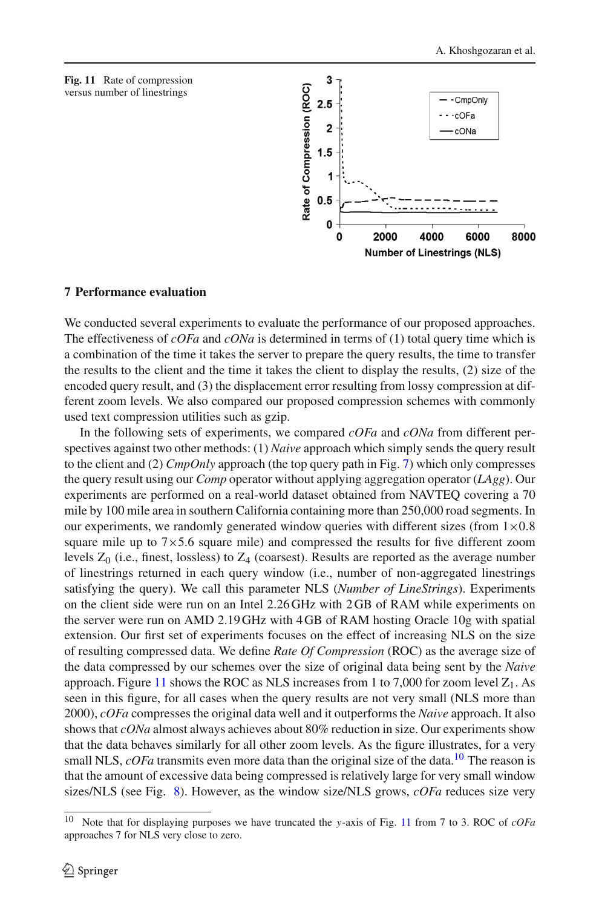<span id="page-13-1"></span>**Fig. 11** Rate of compression versus number of linestrings



# <span id="page-13-0"></span>**7 Performance evaluation**

We conducted several experiments to evaluate the performance of our proposed approaches. The effectiveness of *cOFa* and *cONa* is determined in terms of (1) total query time which is a combination of the time it takes the server to prepare the query results, the time to transfer the results to the client and the time it takes the client to display the results, (2) size of the encoded query result, and (3) the displacement error resulting from lossy compression at different zoom levels. We also compared our proposed compression schemes with commonly used text compression utilities such as gzip.

In the following sets of experiments, we compared *cOFa* and *cONa* from different perspectives against two other methods: (1) *Naive* approach which simply sends the query result to the client and (2) *CmpOnly* approach (the top query path in Fig. [7\)](#page-9-1) which only compresses the query result using our *Comp* operator without applying aggregation operator (*LAgg*). Our experiments are performed on a real-world dataset obtained from NAVTEQ covering a 70 mile by 100 mile area in southern California containing more than 250,000 road segments. In our experiments, we randomly generated window queries with different sizes (from  $1\times0.8$ ) square mile up to  $7\times5.6$  square mile) and compressed the results for five different zoom levels  $Z_0$  (i.e., finest, lossless) to  $Z_4$  (coarsest). Results are reported as the average number of linestrings returned in each query window (i.e., number of non-aggregated linestrings satisfying the query). We call this parameter NLS (*Number of LineStrings*). Experiments on the client side were run on an Intel 2.26 GHz with 2 GB of RAM while experiments on the server were run on AMD 2.19 GHz with 4 GB of RAM hosting Oracle 10g with spatial extension. Our first set of experiments focuses on the effect of increasing NLS on the size of resulting compressed data. We define *Rate Of Compression* (ROC) as the average size of the data compressed by our schemes over the size of original data being sent by the *Naive* approach. Figure [11](#page-13-1) shows the ROC as NLS increases from 1 to 7,000 for zoom level  $Z_1$ . As seen in this figure, for all cases when the query results are not very small (NLS more than 2000), *cOFa* compresses the original data well and it outperforms the *Naive* approach. It also shows that *cONa* almost always achieves about 80% reduction in size. Our experiments show that the data behaves similarly for all other zoom levels. As the figure illustrates, for a very small NLS,  $\epsilon$ *OFa* transmits even more data than the original size of the data.<sup>10</sup> The reason is that the amount of excessive data being compressed is relatively large for very small window sizes/NLS (see Fig. [8\)](#page-10-1). However, as the window size/NLS grows, *cOFa* reduces size very

<span id="page-13-2"></span><sup>10</sup> Note that for displaying purposes we have truncated the *y*-axis of Fig. [11](#page-13-1) from 7 to 3. ROC of *cOFa* approaches 7 for NLS very close to zero.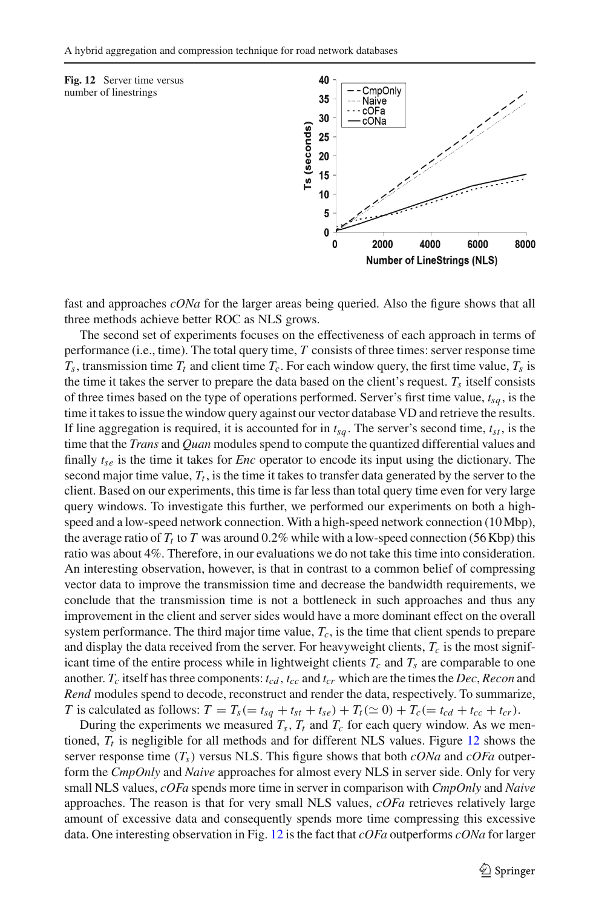<span id="page-14-0"></span>**Fig. 12** Server time versus number of linestrings



fast and approaches *cONa* for the larger areas being queried. Also the figure shows that all three methods achieve better ROC as NLS grows.

The second set of experiments focuses on the effectiveness of each approach in terms of performance (i.e., time). The total query time, *T* consists of three times: server response time  $T_s$ , transmission time  $T_t$  and client time  $T_c$ . For each window query, the first time value,  $T_s$  is the time it takes the server to prepare the data based on the client's request.  $T_s$  itself consists of three times based on the type of operations performed. Server's first time value, *tsq* , is the time it takes to issue the window query against our vector database VD and retrieve the results. If line aggregation is required, it is accounted for in  $t_{sa}$ . The server's second time,  $t_{st}$ , is the time that the *Trans* and *Quan* modules spend to compute the quantized differential values and finally *tse* is the time it takes for *Enc* operator to encode its input using the dictionary. The second major time value,  $T_t$ , is the time it takes to transfer data generated by the server to the client. Based on our experiments, this time is far less than total query time even for very large query windows. To investigate this further, we performed our experiments on both a highspeed and a low-speed network connection. With a high-speed network connection (10Mbp), the average ratio of  $T_t$  to  $T$  was around 0.2% while with a low-speed connection (56 Kbp) this ratio was about 4%. Therefore, in our evaluations we do not take this time into consideration. An interesting observation, however, is that in contrast to a common belief of compressing vector data to improve the transmission time and decrease the bandwidth requirements, we conclude that the transmission time is not a bottleneck in such approaches and thus any improvement in the client and server sides would have a more dominant effect on the overall system performance. The third major time value,  $T_c$ , is the time that client spends to prepare and display the data received from the server. For heavyweight clients,  $T_c$  is the most significant time of the entire process while in lightweight clients  $T_c$  and  $T_s$  are comparable to one another. *T<sub>c</sub>* itself has three components:  $t_{cd}$ ,  $t_{cc}$  and  $t_{cr}$  which are the times the *Dec*, *Recon* and *Rend* modules spend to decode, reconstruct and render the data, respectively. To summarize, *T* is calculated as follows:  $T = T_s (= t_{sq} + t_{st} + t_{se}) + T_t(\approx 0) + T_c (= t_{cd} + t_{cc} + t_{cr}).$ 

During the experiments we measured  $T_s$ ,  $T_t$  and  $T_c$  for each query window. As we mentioned,  $T_t$  is negligible for all methods and for different NLS values. Figure [12](#page-14-0) shows the server response time (*Ts*) versus NLS. This figure shows that both *cONa* and *cOFa* outperform the *CmpOnly* and *Naive* approaches for almost every NLS in server side. Only for very small NLS values, *cOFa* spends more time in server in comparison with *CmpOnly* and *Naive* approaches. The reason is that for very small NLS values, *cOFa* retrieves relatively large amount of excessive data and consequently spends more time compressing this excessive data. One interesting observation in Fig. [12](#page-14-0) is the fact that *cOFa* outperforms *cONa* for larger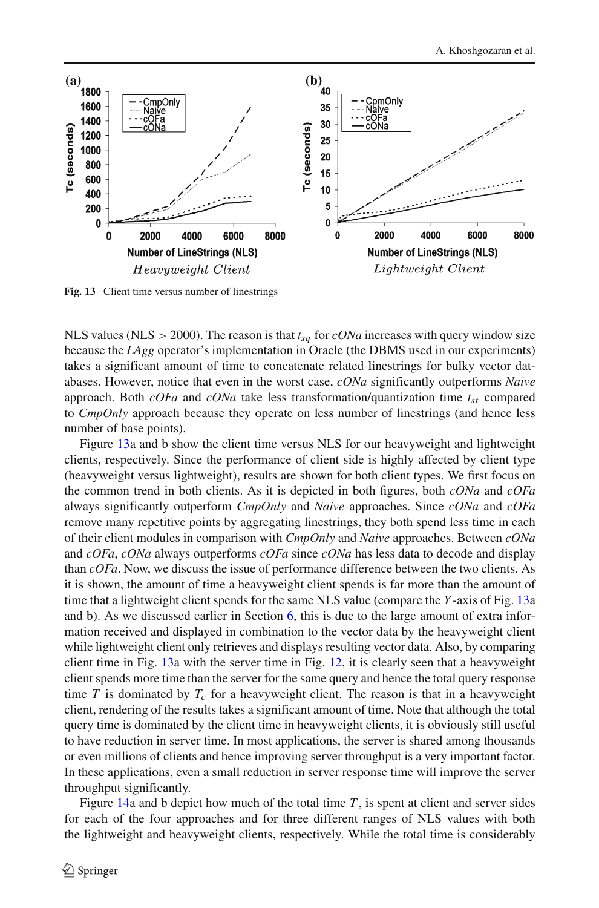

<span id="page-15-0"></span>**Fig. 13** Client time versus number of linestrings

NLS values (NLS  $>$  2000). The reason is that  $t_{sg}$  for *cONa* increases with query window size because the *LAgg* operator's implementation in Oracle (the DBMS used in our experiments) takes a significant amount of time to concatenate related linestrings for bulky vector databases. However, notice that even in the worst case, *cONa* significantly outperforms *Naive* approach. Both  $cOFa$  and  $cONa$  take less transformation/quantization time  $t<sub>st</sub>$  compared to *CmpOnly* approach because they operate on less number of linestrings (and hence less number of base points).

Figure [13a](#page-15-0) and b show the client time versus NLS for our heavyweight and lightweight clients, respectively. Since the performance of client side is highly affected by client type (heavyweight versus lightweight), results are shown for both client types. We first focus on the common trend in both clients. As it is depicted in both figures, both *cONa* and *cOFa* always significantly outperform *CmpOnly* and *Naive* approaches. Since *cONa* and *cOFa* remove many repetitive points by aggregating linestrings, they both spend less time in each of their client modules in comparison with *CmpOnly* and *Naive* approaches. Between *cONa* and *cOFa*, *cONa* always outperforms *cOFa* since *cONa* has less data to decode and display than *cOFa*. Now, we discuss the issue of performance difference between the two clients. As it is shown, the amount of time a heavyweight client spends is far more than the amount of time that a lightweight client spends for the same NLS value (compare the *Y* -axis of Fig. [13a](#page-15-0) and b). As we discussed earlier in Section [6,](#page-10-0) this is due to the large amount of extra information received and displayed in combination to the vector data by the heavyweight client while lightweight client only retrieves and displays resulting vector data. Also, by comparing client time in Fig. [13a](#page-15-0) with the server time in Fig. [12,](#page-14-0) it is clearly seen that a heavyweight client spends more time than the server for the same query and hence the total query response time  $T$  is dominated by  $T_c$  for a heavyweight client. The reason is that in a heavyweight client, rendering of the results takes a significant amount of time. Note that although the total query time is dominated by the client time in heavyweight clients, it is obviously still useful to have reduction in server time. In most applications, the server is shared among thousands or even millions of clients and hence improving server throughput is a very important factor. In these applications, even a small reduction in server response time will improve the server throughput significantly.

Figure [14a](#page-16-0) and b depict how much of the total time  $T$ , is spent at client and server sides for each of the four approaches and for three different ranges of NLS values with both the lightweight and heavyweight clients, respectively. While the total time is considerably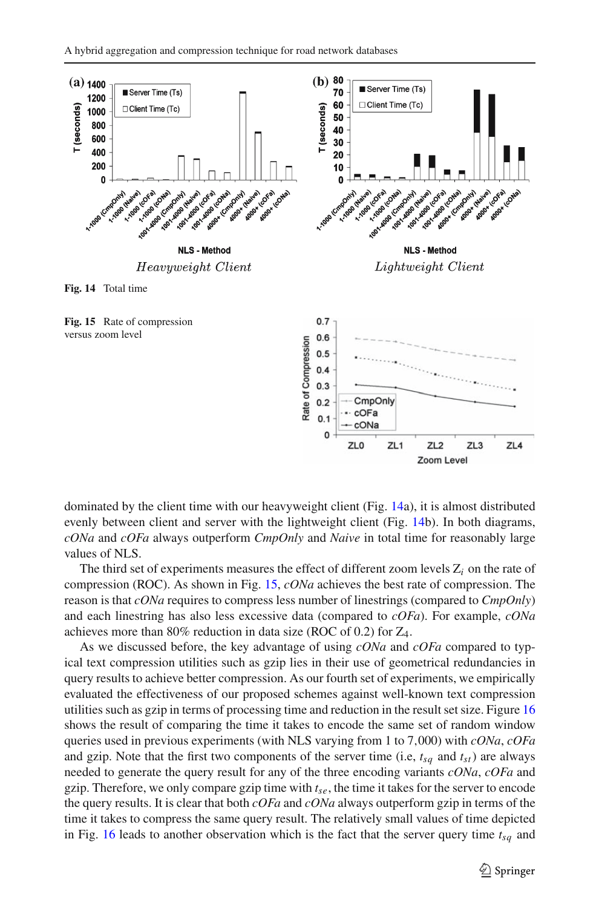

<span id="page-16-1"></span><span id="page-16-0"></span>dominated by the client time with our heavyweight client (Fig. [14a](#page-16-0)), it is almost distributed evenly between client and server with the lightweight client (Fig. [14b](#page-16-0)). In both diagrams, *cONa* and *cOFa* always outperform *CmpOnly* and *Naive* in total time for reasonably large values of NLS.

The third set of experiments measures the effect of different zoom levels  $Z_i$  on the rate of compression (ROC). As shown in Fig. [15,](#page-16-1) *cONa* achieves the best rate of compression. The reason is that *cONa* requires to compress less number of linestrings (compared to *CmpOnly*) and each linestring has also less excessive data (compared to *cOFa*). For example, *cONa* achieves more than 80% reduction in data size (ROC of 0.2) for Z4.

As we discussed before, the key advantage of using *cONa* and *cOFa* compared to typical text compression utilities such as gzip lies in their use of geometrical redundancies in query results to achieve better compression. As our fourth set of experiments, we empirically evaluated the effectiveness of our proposed schemes against well-known text compression utilities such as gzip in terms of processing time and reduction in the result set size. Figure [16](#page-17-0) shows the result of comparing the time it takes to encode the same set of random window queries used in previous experiments (with NLS varying from 1 to 7,000) with *cONa*, *cOFa* and gzip. Note that the first two components of the server time (i.e, *tsq* and *tst*) are always needed to generate the query result for any of the three encoding variants *cONa*, *cOFa* and gzip. Therefore, we only compare gzip time with  $t_{se}$ , the time it takes for the server to encode the query results. It is clear that both *cOFa* and *cONa* always outperform gzip in terms of the time it takes to compress the same query result. The relatively small values of time depicted in Fig. [16](#page-17-0) leads to another observation which is the fact that the server query time  $t_{sa}$  and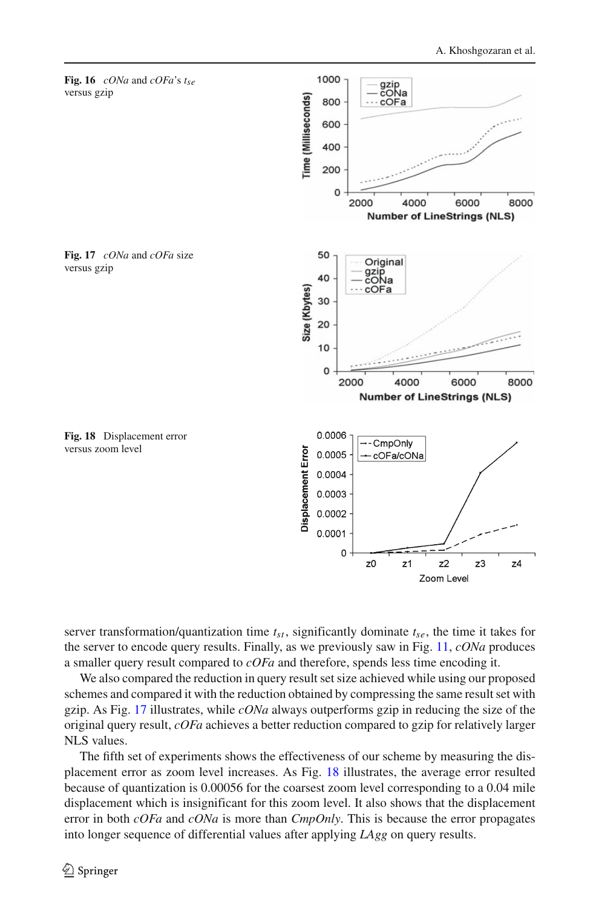Zoom Level

<span id="page-17-1"></span><span id="page-17-0"></span>

<span id="page-17-2"></span>server transformation/quantization time  $t_{st}$ , significantly dominate  $t_{se}$ , the time it takes for the server to encode query results. Finally, as we previously saw in Fig. [11,](#page-13-1) *cONa* produces a smaller query result compared to *cOFa* and therefore, spends less time encoding it.

We also compared the reduction in query result set size achieved while using our proposed schemes and compared it with the reduction obtained by compressing the same result set with gzip. As Fig. [17](#page-17-1) illustrates, while *cONa* always outperforms gzip in reducing the size of the original query result, *cOFa* achieves a better reduction compared to gzip for relatively larger NLS values.

The fifth set of experiments shows the effectiveness of our scheme by measuring the displacement error as zoom level increases. As Fig. [18](#page-17-2) illustrates, the average error resulted because of quantization is 0.00056 for the coarsest zoom level corresponding to a 0.04 mile displacement which is insignificant for this zoom level. It also shows that the displacement error in both *cOFa* and *cONa* is more than *CmpOnly*. This is because the error propagates into longer sequence of differential values after applying *LAgg* on query results.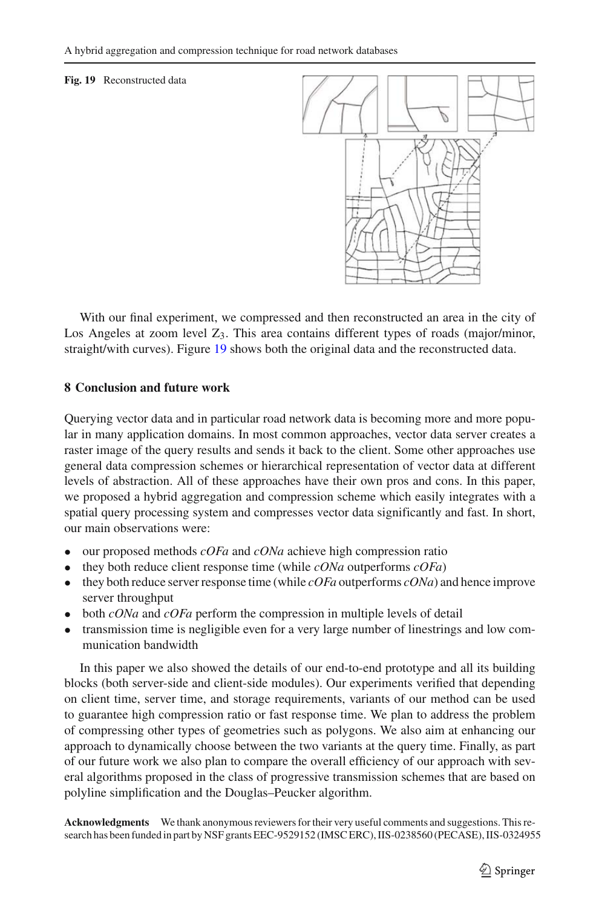### <span id="page-18-1"></span>**Fig. 19** Reconstructed data



With our final experiment, we compressed and then reconstructed an area in the city of Los Angeles at zoom level  $Z_3$ . This area contains different types of roads (major/minor, straight/with curves). Figure [19](#page-18-1) shows both the original data and the reconstructed data.

# <span id="page-18-0"></span>**8 Conclusion and future work**

Querying vector data and in particular road network data is becoming more and more popular in many application domains. In most common approaches, vector data server creates a raster image of the query results and sends it back to the client. Some other approaches use general data compression schemes or hierarchical representation of vector data at different levels of abstraction. All of these approaches have their own pros and cons. In this paper, we proposed a hybrid aggregation and compression scheme which easily integrates with a spatial query processing system and compresses vector data significantly and fast. In short, our main observations were:

- our proposed methods *cOFa* and *cONa* achieve high compression ratio
- they both reduce client response time (while *cONa* outperforms *cOFa*)
- they both reduce server response time (while *cOFa* outperforms *cONa*) and hence improve server throughput
- both *cONa* and *cOFa* perform the compression in multiple levels of detail
- transmission time is negligible even for a very large number of linestrings and low communication bandwidth

In this paper we also showed the details of our end-to-end prototype and all its building blocks (both server-side and client-side modules). Our experiments verified that depending on client time, server time, and storage requirements, variants of our method can be used to guarantee high compression ratio or fast response time. We plan to address the problem of compressing other types of geometries such as polygons. We also aim at enhancing our approach to dynamically choose between the two variants at the query time. Finally, as part of our future work we also plan to compare the overall efficiency of our approach with several algorithms proposed in the class of progressive transmission schemes that are based on polyline simplification and the Douglas–Peucker algorithm.

**Acknowledgments** We thank anonymous reviewers for their very useful comments and suggestions. This research has been funded in part by NSF grants EEC-9529152 (IMSC ERC), IIS-0238560 (PECASE), IIS-0324955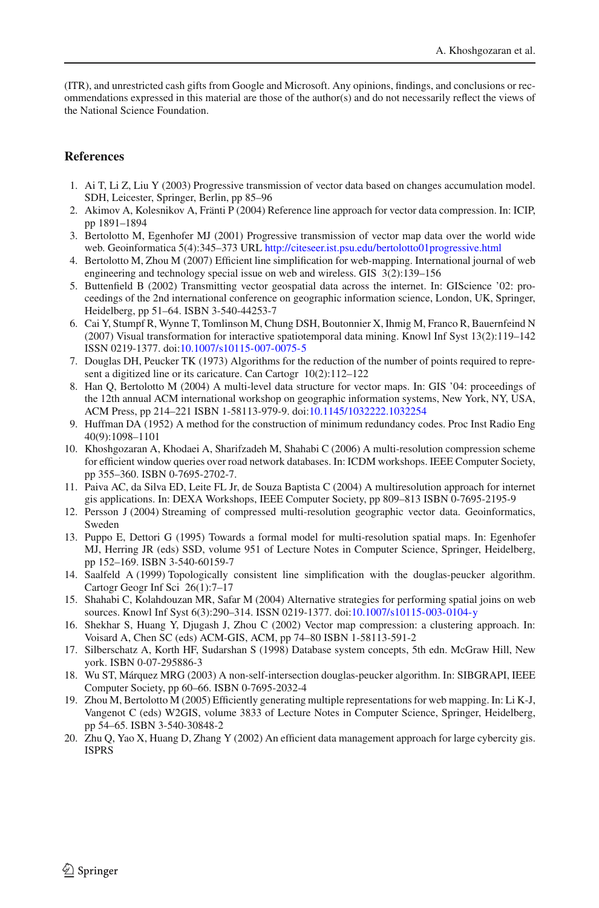(ITR), and unrestricted cash gifts from Google and Microsoft. Any opinions, findings, and conclusions or recommendations expressed in this material are those of the author(s) and do not necessarily reflect the views of the National Science Foundation.

# <span id="page-19-6"></span>**References**

- 1. Ai T, Li Z, Liu Y (2003) Progressive transmission of vector data based on changes accumulation model. SDH, Leicester, Springer, Berlin, pp 85–96
- <span id="page-19-3"></span>2. Akimov A, Kolesnikov A, Fränti P (2004) Reference line approach for vector data compression. In: ICIP, pp 1891–1894
- <span id="page-19-7"></span>3. Bertolotto M, Egenhofer MJ (2001) Progressive transmission of vector map data over the world wide web. Geoinformatica 5(4):345–373 URL <http://citeseer.ist.psu.edu/bertolotto01progressive.html>
- 4. Bertolotto M, Zhou M (2007) Efficient line simplification for web-mapping. International journal of web engineering and technology special issue on web and wireless. GIS 3(2):139–156
- <span id="page-19-8"></span>5. Buttenfield B (2002) Transmitting vector geospatial data across the internet. In: GIScience '02: proceedings of the 2nd international conference on geographic information science, London, UK, Springer, Heidelberg, pp 51–64. ISBN 3-540-44253-7
- <span id="page-19-0"></span>6. Cai Y, Stumpf R, Wynne T, Tomlinson M, Chung DSH, Boutonnier X, Ihmig M, Franco R, Bauernfeind N (2007) Visual transformation for interactive spatiotemporal data mining. Knowl Inf Syst 13(2):119–142 ISSN 0219-1377. doi[:10.1007/s10115-007-0075-5](http://dx.doi.org/10.1007/s10115-007-0075-5)
- <span id="page-19-9"></span>7. Douglas DH, Peucker TK (1973) Algorithms for the reduction of the number of points required to represent a digitized line or its caricature. Can Cartogr 10(2):112–122
- <span id="page-19-10"></span>8. Han Q, Bertolotto M (2004) A multi-level data structure for vector maps. In: GIS '04: proceedings of the 12th annual ACM international workshop on geographic information systems, New York, NY, USA, ACM Press, pp 214–221 ISBN 1-58113-979-9. doi[:10.1145/1032222.1032254](http://dx.doi.org/10.1145/1032222.1032254)
- 9. Huffman DA (1952) A method for the construction of minimum redundancy codes. Proc Inst Radio Eng 40(9):1098–1101
- <span id="page-19-15"></span><span id="page-19-2"></span>10. Khoshgozaran A, Khodaei A, Sharifzadeh M, Shahabi C (2006) A multi-resolution compression scheme for efficient window queries over road network databases. In: ICDM workshops. IEEE Computer Society, pp 355–360. ISBN 0-7695-2702-7.
- <span id="page-19-11"></span>11. Paiva AC, da Silva ED, Leite FL Jr, de Souza Baptista C (2004) A multiresolution approach for internet gis applications. In: DEXA Workshops, IEEE Computer Society, pp 809–813 ISBN 0-7695-2195-9
- 12. Persson J (2004) Streaming of compressed multi-resolution geographic vector data. Geoinformatics, Sweden
- 13. Puppo E, Dettori G (1995) Towards a formal model for multi-resolution spatial maps. In: Egenhofer MJ, Herring JR (eds) SSD, volume 951 of Lecture Notes in Computer Science, Springer, Heidelberg, pp 152–169. ISBN 3-540-60159-7
- <span id="page-19-12"></span>14. Saalfeld A (1999) Topologically consistent line simplification with the douglas-peucker algorithm. Cartogr Geogr Inf Sci 26(1):7–17
- <span id="page-19-1"></span>15. Shahabi C, Kolahdouzan MR, Safar M (2004) Alternative strategies for performing spatial joins on web sources. Knowl Inf Syst 6(3):290–314. ISSN 0219-1377. doi[:10.1007/s10115-003-0104-y](http://dx.doi.org/10.1007/s10115-003-0104-y)
- <span id="page-19-4"></span>16. Shekhar S, Huang Y, Djugash J, Zhou C (2002) Vector map compression: a clustering approach. In: Voisard A, Chen SC (eds) ACM-GIS, ACM, pp 74–80 ISBN 1-58113-591-2
- <span id="page-19-16"></span>17. Silberschatz A, Korth HF, Sudarshan S (1998) Database system concepts, 5th edn. McGraw Hill, New york. ISBN 0-07-295886-3
- <span id="page-19-13"></span>18. Wu ST, Márquez MRG (2003) A non-self-intersection douglas-peucker algorithm. In: SIBGRAPI, IEEE Computer Society, pp 60–66. ISBN 0-7695-2032-4
- <span id="page-19-14"></span>19. Zhou M, Bertolotto M (2005) Efficiently generating multiple representations for web mapping. In: Li K-J, Vangenot C (eds) W2GIS, volume 3833 of Lecture Notes in Computer Science, Springer, Heidelberg, pp 54–65. ISBN 3-540-30848-2
- <span id="page-19-5"></span>20. Zhu Q, Yao X, Huang D, Zhang Y (2002) An efficient data management approach for large cybercity gis. ISPRS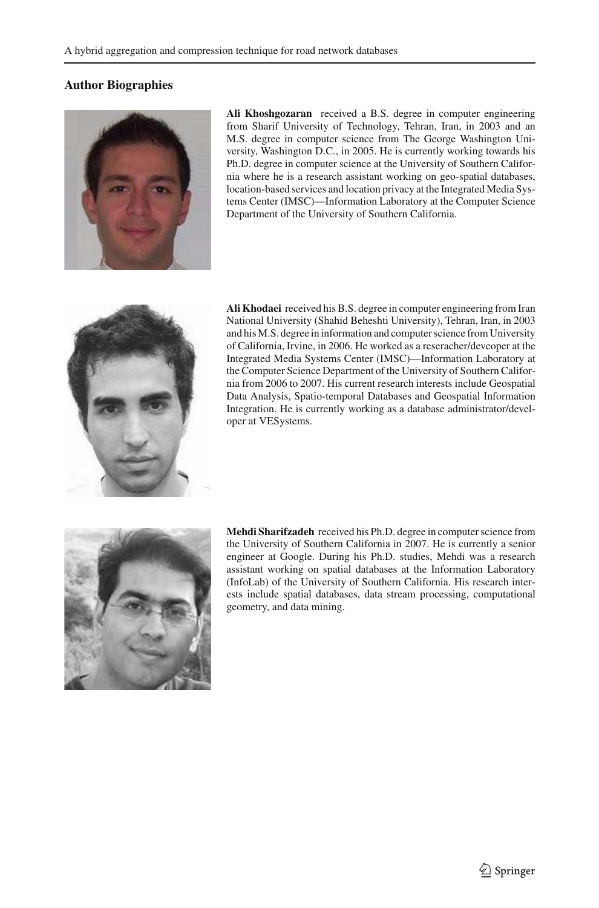### **Author Biographies**



**Ali Khoshgozaran** received a B.S. degree in computer engineering from Sharif University of Technology, Tehran, Iran, in 2003 and an M.S. degree in computer science from The George Washington University, Washington D.C., in 2005. He is currently working towards his Ph.D. degree in computer science at the University of Southern California where he is a research assistant working on geo-spatial databases, location-based services and location privacy at the Integrated Media Systems Center (IMSC)—Information Laboratory at the Computer Science Department of the University of Southern California.



**Ali Khodaei** received his B.S. degree in computer engineering from Iran National University (Shahid Beheshti University), Tehran, Iran, in 2003 and hisM.S. degree in information and computer science from University of California, Irvine, in 2006. He worked as a reseracher/deveoper at the Integrated Media Systems Center (IMSC)—Information Laboratory at the Computer Science Department of the University of Southern California from 2006 to 2007. His current research interests include Geospatial Data Analysis, Spatio-temporal Databases and Geospatial Information Integration. He is currently working as a database administrator/developer at VESystems.



**Mehdi Sharifzadeh** received his Ph.D. degree in computer science from the University of Southern California in 2007. He is currently a senior engineer at Google. During his Ph.D. studies, Mehdi was a research assistant working on spatial databases at the Information Laboratory (InfoLab) of the University of Southern California. His research interests include spatial databases, data stream processing, computational geometry, and data mining.